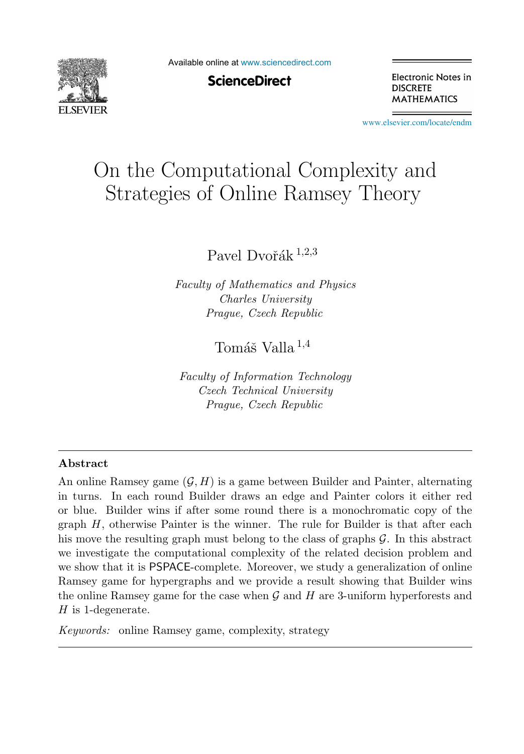

Available online at [www.sciencedirect.com](http://www.sciencedirect.com)

**ScienceDirect** 

Electronic Notes in **DISCRETE MATHEMATICS** 

[www.elsevier.com/locate/endm](http://www.elsevier.com/locate/endm)

# On the Computational Complexity and Strategies of Online Ramsey Theory

Pavel Dvořák  $^{1,2,3}$ 

*Faculty of Mathematics and Physics Charles University Prague, Czech Republic*

Tomáš Valla  $^{1,4}$ 

*Faculty of Information Technology Czech Technical University Prague, Czech Republic*

#### **Abstract**

An online Ramsey game  $(G, H)$  is a game between Builder and Painter, alternating in turns. In each round Builder draws an edge and Painter colors it either red or blue. Builder wins if after some round there is a monochromatic copy of the graph  $H$ , otherwise Painter is the winner. The rule for Builder is that after each his move the resulting graph must belong to the class of graphs  $\mathcal{G}$ . In this abstract we investigate the computational complexity of the related decision problem and we show that it is PSPACE-complete. Moreover, we study a generalization of online Ramsey game for hypergraphs and we provide a result showing that Builder wins the online Ramsey game for the case when  $\mathcal G$  and  $H$  are 3-uniform hyperforests and  $H$  is 1-degenerate.

*Keywords:* online Ramsey game, complexity, strategy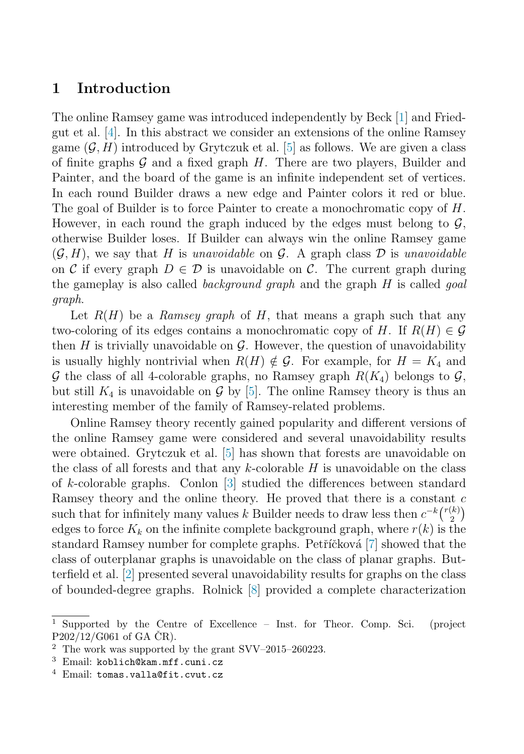### **1 Introduction**

The online Ramsey game was introduced independently by Beck [\[1\]](#page-7-0) and Friedgut et al. [\[4\]](#page-7-0). In this abstract we consider an extensions of the online Ramsey game  $(G, H)$  introduced by Grytczuk et al. [\[5\]](#page-7-0) as follows. We are given a class of finite graphs  $\mathcal G$  and a fixed graph  $H$ . There are two players, Builder and Painter, and the board of the game is an infinite independent set of vertices. In each round Builder draws a new edge and Painter colors it red or blue. The goal of Builder is to force Painter to create a monochromatic copy of H. However, in each round the graph induced by the edges must belong to  $\mathcal{G}$ , otherwise Builder loses. If Builder can always win the online Ramsey game  $(\mathcal{G}, H)$ , we say that H is unavoidable on  $\mathcal{G}$ . A graph class D is unavoidable on C if every graph  $D \in \mathcal{D}$  is unavoidable on C. The current graph during the gameplay is also called *background graph* and the graph H is called *goal* graph.

Let  $R(H)$  be a Ramsey graph of H, that means a graph such that any two-coloring of its edges contains a monochromatic copy of H. If  $R(H) \in \mathcal{G}$ then H is trivially unavoidable on  $\mathcal G$ . However, the question of unavoidability is usually highly nontrivial when  $R(H) \notin \mathcal{G}$ . For example, for  $H = K_4$  and  $\mathcal G$  the class of all 4-colorable graphs, no Ramsey graph  $R(K_4)$  belongs to  $\mathcal G$ , but still  $K_4$  is unavoidable on G by [\[5\]](#page-7-0). The online Ramsey theory is thus an interesting member of the family of Ramsey-related problems.

Online Ramsey theory recently gained popularity and different versions of the online Ramsey game were considered and several unavoidability results were obtained. Grytczuk et al. [\[5\]](#page-7-0) has shown that forests are unavoidable on the class of all forests and that any  $k$ -colorable  $H$  is unavoidable on the class of k-colorable graphs. Conlon [\[3\]](#page-7-0) studied the differences between standard Ramsey theory and the online theory. He proved that there is a constant  $c$ such that for infinitely many values k Builder needs to draw less then  $c^{-k} \binom{r(k)}{2}$  $\binom{k}{2}$ edges to force  $K_k$  on the infinite complete background graph, where  $r(k)$  is the standard Ramsey number for complete graphs. Petříčková [\[7\]](#page-7-0) showed that the class of outerplanar graphs is unavoidable on the class of planar graphs. Butterfield et al. [\[2\]](#page-7-0) presented several unavoidability results for graphs on the class of bounded-degree graphs. Rolnick [\[8\]](#page-7-0) provided a complete characterization

<sup>1</sup> Supported by the Centre of Excellence – Inst. for Theor. Comp. Sci. (project  $P202/12/G061$  of GA CR).

<sup>2</sup> The work was supported by the grant SVV–2015–260223.

 $3$  Email: koblich@kam.mff.cuni.cz

 $4$  Email: tomas.valla@fit.cvut.cz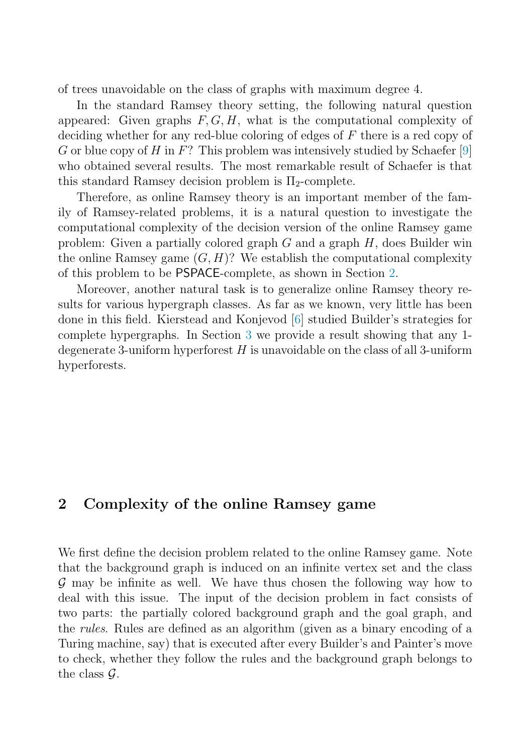of trees unavoidable on the class of graphs with maximum degree 4.

In the standard Ramsey theory setting, the following natural question appeared: Given graphs  $F, G, H$ , what is the computational complexity of deciding whether for any red-blue coloring of edges of  $F$  there is a red copy of G or blue copy of H in  $F$ ? This problem was intensively studied by Schaefer [\[9\]](#page-7-0) who obtained several results. The most remarkable result of Schaefer is that this standard Ramsey decision problem is  $\Pi_2$ -complete.

Therefore, as online Ramsey theory is an important member of the family of Ramsey-related problems, it is a natural question to investigate the computational complexity of the decision version of the online Ramsey game problem: Given a partially colored graph  $G$  and a graph  $H$ , does Builder win the online Ramsey game  $(G, H)$ ? We establish the computational complexity of this problem to be PSPACE-complete, as shown in Section 2.

Moreover, another natural task is to generalize online Ramsey theory results for various hypergraph classes. As far as we known, very little has been done in this field. Kierstead and Konjevod [\[6\]](#page-7-0) studied Builder's strategies for complete hypergraphs. In Section [3](#page-6-0) we provide a result showing that any 1 degenerate 3-uniform hyperforest  $H$  is unavoidable on the class of all 3-uniform hyperforests.

## **2 Complexity of the online Ramsey game**

We first define the decision problem related to the online Ramsey game. Note that the background graph is induced on an infinite vertex set and the class G may be infinite as well. We have thus chosen the following way how to deal with this issue. The input of the decision problem in fact consists of two parts: the partially colored background graph and the goal graph, and the rules. Rules are defined as an algorithm (given as a binary encoding of a Turing machine, say) that is executed after every Builder's and Painter's move to check, whether they follow the rules and the background graph belongs to the class  $\mathcal{G}$ .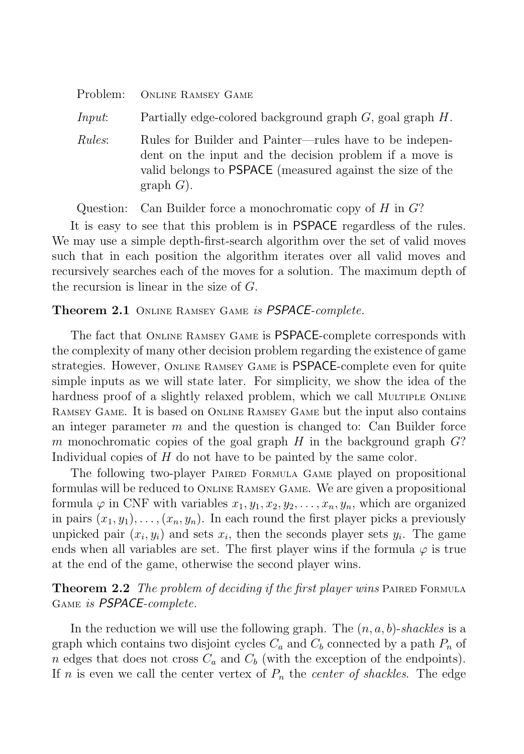<span id="page-3-0"></span>

| Problem:       | <b>ONLINE RAMSEY GAME</b>                                                                                                                                                                              |
|----------------|--------------------------------------------------------------------------------------------------------------------------------------------------------------------------------------------------------|
| <i>Input</i> : | Partially edge-colored background graph $G$ , goal graph $H$ .                                                                                                                                         |
| <i>Rules:</i>  | Rules for Builder and Painter—rules have to be indepen-<br>dent on the input and the decision problem if a move is<br>valid belongs to <b>PSPACE</b> (measured against the size of the<br>graph $G$ ). |

Question: Can Builder force a monochromatic copy of  $H$  in  $G$ ?

It is easy to see that this problem is in PSPACE regardless of the rules. We may use a simple depth-first-search algorithm over the set of valid moves such that in each position the algorithm iterates over all valid moves and recursively searches each of the moves for a solution. The maximum depth of the recursion is linear in the size of G.

#### **Theorem 2.1** Online Ramsey Game is PSPACE-complete.

The fact that Online Ramsey Game is PSPACE-complete corresponds with the complexity of many other decision problem regarding the existence of game strategies. However, Online Ramsey Game is PSPACE-complete even for quite simple inputs as we will state later. For simplicity, we show the idea of the hardness proof of a slightly relaxed problem, which we call Multiple ONLINE Ramsey Game. It is based on Online Ramsey Game but the input also contains an integer parameter  $m$  and the question is changed to: Can Builder force m monochromatic copies of the goal graph H in the background graph  $G$ ? Individual copies of H do not have to be painted by the same color.

The following two-player Paired Formula Game played on propositional formulas will be reduced to Online Ramsey Game. We are given a propositional formula  $\varphi$  in CNF with variables  $x_1, y_1, x_2, y_2, \ldots, x_n, y_n$ , which are organized in pairs  $(x_1, y_1), \ldots, (x_n, y_n)$ . In each round the first player picks a previously unpicked pair  $(x_i, y_i)$  and sets  $x_i$ , then the seconds player sets  $y_i$ . The game ends when all variables are set. The first player wins if the formula  $\varphi$  is true at the end of the game, otherwise the second player wins.

**Theorem 2.2** The problem of deciding if the first player wins PAIRED FORMULA Game is PSPACE-complete.

In the reduction we will use the following graph. The  $(n, a, b)$ -shackles is a graph which contains two disjoint cycles  $C_a$  and  $C_b$  connected by a path  $P_n$  of n edges that does not cross  $C_a$  and  $C_b$  (with the exception of the endpoints). If n is even we call the center vertex of  $P_n$  the *center of shackles*. The edge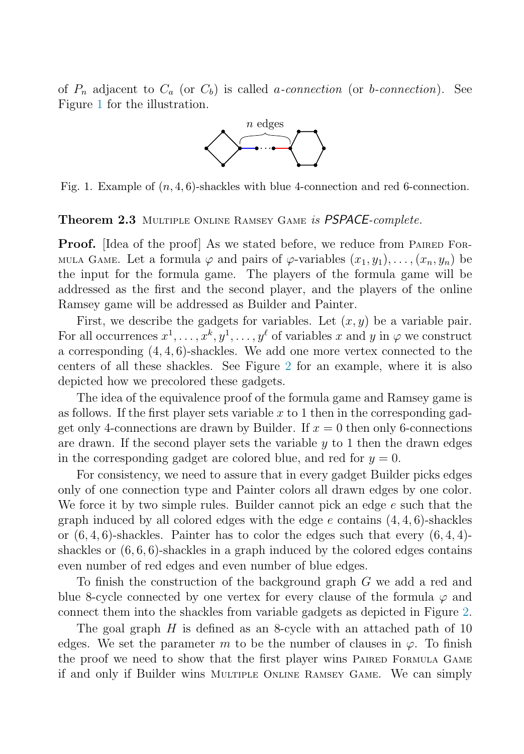of  $P_n$  adjacent to  $C_a$  (or  $C_b$ ) is called a-connection (or b-connection). See Figure 1 for the illustration.



Fig. 1. Example of  $(n, 4, 6)$ -shackles with blue 4-connection and red 6-connection.

#### **Theorem 2.3** Multiple Online Ramsey Game is PSPACE-complete.

**Proof.** [Idea of the proof] As we stated before, we reduce from PAIRED FOR-MULA GAME. Let a formula  $\varphi$  and pairs of  $\varphi$ -variables  $(x_1, y_1), \ldots, (x_n, y_n)$  be the input for the formula game. The players of the formula game will be addressed as the first and the second player, and the players of the online Ramsey game will be addressed as Builder and Painter.

First, we describe the gadgets for variables. Let  $(x, y)$  be a variable pair. For all occurrences  $x^1, \ldots, x^k, y^1, \ldots, y^\ell$  of variables x and y in  $\varphi$  we construct a corresponding  $(4, 4, 6)$ -shackles. We add one more vertex connected to the centers of all these shackles. See Figure [2](#page-5-0) for an example, where it is also depicted how we precolored these gadgets.

The idea of the equivalence proof of the formula game and Ramsey game is as follows. If the first player sets variable  $x$  to 1 then in the corresponding gadget only 4-connections are drawn by Builder. If  $x = 0$  then only 6-connections are drawn. If the second player sets the variable  $y$  to 1 then the drawn edges in the corresponding gadget are colored blue, and red for  $y = 0$ .

For consistency, we need to assure that in every gadget Builder picks edges only of one connection type and Painter colors all drawn edges by one color. We force it by two simple rules. Builder cannot pick an edge e such that the graph induced by all colored edges with the edge  $e$  contains  $(4, 4, 6)$ -shackles or  $(6, 4, 6)$ -shackles. Painter has to color the edges such that every  $(6, 4, 4)$ shackles or  $(6, 6, 6)$ -shackles in a graph induced by the colored edges contains even number of red edges and even number of blue edges.

To finish the construction of the background graph G we add a red and blue 8-cycle connected by one vertex for every clause of the formula  $\varphi$  and connect them into the shackles from variable gadgets as depicted in Figure [2.](#page-5-0)

The goal graph  $H$  is defined as an 8-cycle with an attached path of 10 edges. We set the parameter m to be the number of clauses in  $\varphi$ . To finish the proof we need to show that the first player wins Paired Formula Game if and only if Builder wins Multiple Online Ramsey Game. We can simply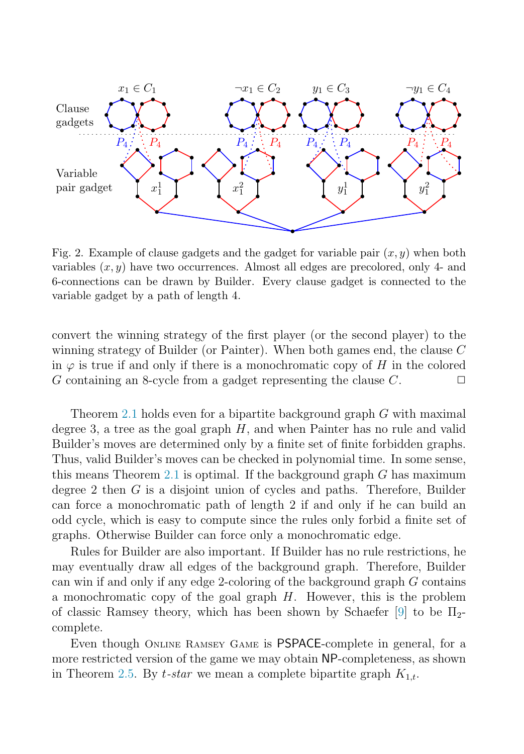<span id="page-5-0"></span>

Fig. 2. Example of clause gadgets and the gadget for variable pair  $(x, y)$  when both variables  $(x, y)$  have two occurrences. Almost all edges are precolored, only 4- and 6-connections can be drawn by Builder. Every clause gadget is connected to the variable gadget by a path of length 4.

convert the winning strategy of the first player (or the second player) to the winning strategy of Builder (or Painter). When both games end, the clause C in  $\varphi$  is true if and only if there is a monochromatic copy of H in the colored G containing an 8-cycle from a gadget representing the clause  $C$ .  $\Box$ 

Theorem [2.1](#page-3-0) holds even for a bipartite background graph G with maximal degree 3, a tree as the goal graph  $H$ , and when Painter has no rule and valid Builder's moves are determined only by a finite set of finite forbidden graphs. Thus, valid Builder's moves can be checked in polynomial time. In some sense, this means Theorem [2.1](#page-3-0) is optimal. If the background graph  $G$  has maximum degree 2 then G is a disjoint union of cycles and paths. Therefore, Builder can force a monochromatic path of length 2 if and only if he can build an odd cycle, which is easy to compute since the rules only forbid a finite set of graphs. Otherwise Builder can force only a monochromatic edge.

Rules for Builder are also important. If Builder has no rule restrictions, he may eventually draw all edges of the background graph. Therefore, Builder can win if and only if any edge 2-coloring of the background graph G contains a monochromatic copy of the goal graph  $H$ . However, this is the problem of classic Ramsey theory, which has been shown by Schaefer [\[9\]](#page-7-0) to be  $\Pi_{2}$ complete.

Even though Online Ramsey Game is PSPACE-complete in general, for a more restricted version of the game we may obtain NP-completeness, as shown in Theorem [2.5.](#page-6-0) By t-star we mean a complete bipartite graph  $K_{1,t}$ .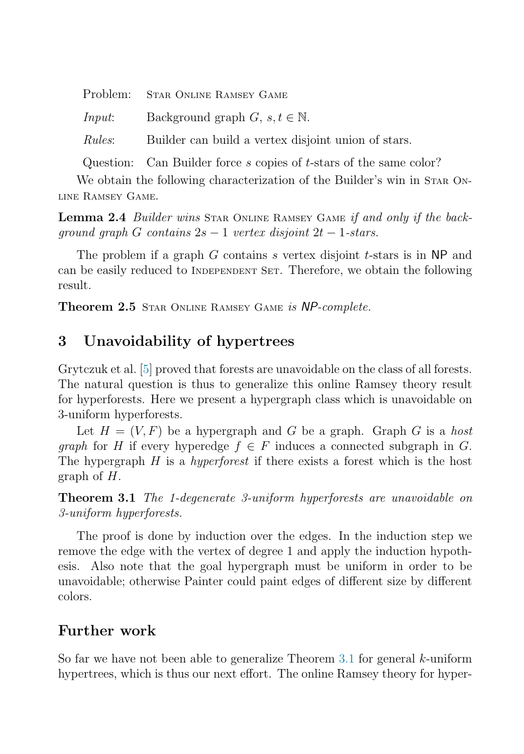<span id="page-6-0"></span>

| Problem: STAR ONLINE RAMSEY GAME                                   |
|--------------------------------------------------------------------|
| <i>Input</i> : Background graph $G, s, t \in \mathbb{N}$ .         |
| <i>Rules</i> : Builder can build a vertex disjoint union of stars. |
|                                                                    |

Question: Can Builder force s copies of t-stars of the same color?

We obtain the following characterization of the Builder's win in STAR ONline Ramsey Game.

Lemma 2.4 Builder wins STAR ONLINE RAMSEY GAME if and only if the backqround qraph G contains  $2s - 1$  vertex disjoint  $2t - 1$ -stars.

The problem if a graph  $G$  contains  $s$  vertex disjoint  $t$ -stars is in NP and can be easily reduced to INDEPENDENT SET. Therefore, we obtain the following result.

**Theorem 2.5** Star Online Ramsey Game is NP-complete.

# **3 Unavoidability of hypertrees**

Grytczuk et al. [\[5\]](#page-7-0) proved that forests are unavoidable on the class of all forests. The natural question is thus to generalize this online Ramsey theory result for hyperforests. Here we present a hypergraph class which is unavoidable on 3-uniform hyperforests.

Let  $H = (V, F)$  be a hypergraph and G be a graph. Graph G is a host *graph* for H if every hyperedge  $f \in F$  induces a connected subgraph in G. The hypergraph  $H$  is a *hyperforest* if there exists a forest which is the host graph of H.

**Theorem 3.1** The 1-degenerate 3-uniform hyperforests are unavoidable on 3-uniform hyperforests.

The proof is done by induction over the edges. In the induction step we remove the edge with the vertex of degree 1 and apply the induction hypothesis. Also note that the goal hypergraph must be uniform in order to be unavoidable; otherwise Painter could paint edges of different size by different colors.

## **Further work**

So far we have not been able to generalize Theorem 3.1 for general  $k$ -uniform hypertrees, which is thus our next effort. The online Ramsey theory for hyper